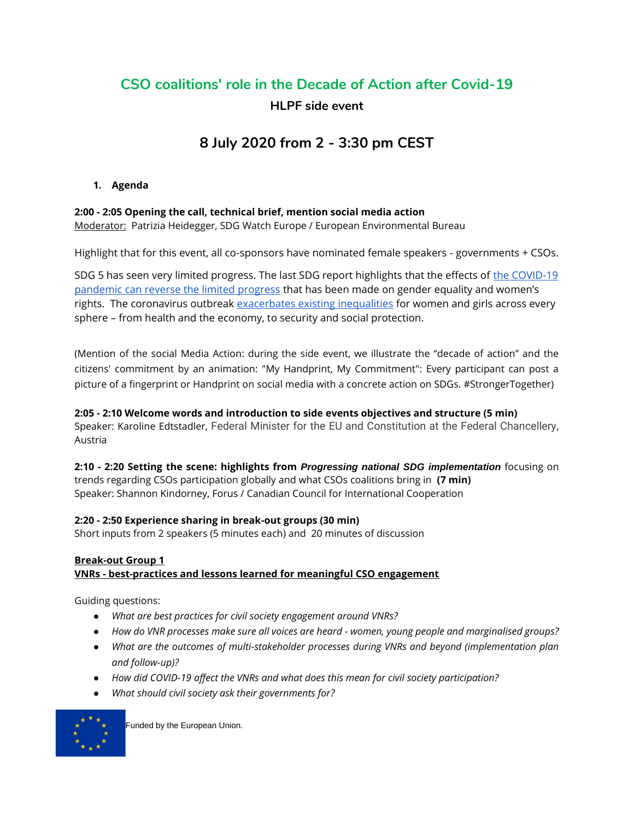# **CSO coalitions' role in the Decade of Action after Covid-19**

# **HLPF side event**

# **8 July 2020 from 2 - 3:30 pm CEST**

## **1. Agenda**

## **2:00 - 2:05 Opening the call, technical brief, mention social media action**

Moderator: Patrizia Heidegger, SDG Watch Europe / European Environmental Bureau

Highlight that for this event, all co-sponsors have nominated female speakers - governments + CSOs.

SDG 5 has seen very limited progress. The last SDG report highlights that the effects of [the COVID-19](https://www.un.org/sites/un2.un.org/files/policy_brief_on_covid_impact_on_women_9_apr_2020_updated.pdf)  [pandemic can reverse the limited progress](https://www.un.org/sites/un2.un.org/files/policy_brief_on_covid_impact_on_women_9_apr_2020_updated.pdf) that has been made on gender equality and women's rights. The coronavirus outbreak [exacerbates existing inequalities](https://www.unfpa.org/sites/default/files/resource-pdf/COVID-19_A_Gender_Lens_Guidance_Note.pdf) for women and girls across every sphere – from health and the economy, to security and social protection.

(Mention of the social Media Action: during the side event, we illustrate the "decade of action" and the citizens' commitment by an animation: "My Handprint, My Commitment": Every participant can post a picture of a fingerprint or Handprint on social media with a concrete action on SDGs. #StrongerTogether)

#### **2:05 - 2:10 Welcome words and introduction to side events objectives and structure (5 min)** Speaker: Karoline Edtstadler, Federal Minister for the EU and Constitution at the Federal Chancellery, Austria

**2:10 - 2:20 Setting the scene: highlights from** *Progressing national SDG implementation* focusing on trends regarding CSOs participation globally and what CSOs coalitions bring in **(7 min)** Speaker: Shannon Kindorney, Forus / Canadian Council for International Cooperation

## **2:20 - 2:50 Experience sharing in break-out groups (30 min)**

Short inputs from 2 speakers (5 minutes each) and 20 minutes of discussion

#### **Break-out Group 1 VNRs - best-practices and lessons learned for meaningful CSO engagement**

Guiding questions:

- *What are best practices for civil society engagement around VNRs?*
- *How do VNR processes make sure all voices are heard - women, young people and marginalised groups?*
- *What are the outcomes of multi-stakeholder processes during VNRs and beyond (implementation plan and follow-up)?*
- *How did COVID-19 affect the VNRs and what does this mean for civil society participation?*
- *What should civil society ask their governments for?*

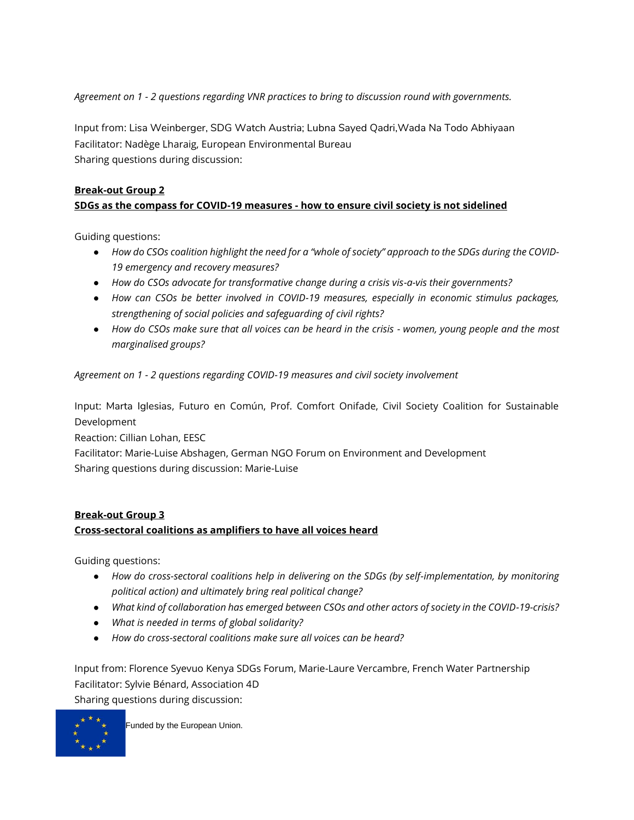*Agreement on 1 - 2 questions regarding VNR practices to bring to discussion round with governments.* 

Input from: Lisa Weinberger, SDG Watch Austria; Lubna Sayed Qadri,Wada Na Todo Abhiyaan Facilitator: Nadège Lharaig, European Environmental Bureau Sharing questions during discussion:

# **Break-out Group 2 SDGs as the compass for COVID-19 measures - how to ensure civil society is not sidelined**

Guiding questions:

- *How do CSOs coalition highlight the need for a "whole of society" approach to the SDGs during the COVID-19 emergency and recovery measures?*
- *How do CSOs advocate for transformative change during a crisis vis-a-vis their governments?*
- *How can CSOs be better involved in COVID-19 measures, especially in economic stimulus packages, strengthening of social policies and safeguarding of civil rights?*
- *How do CSOs make sure that all voices can be heard in the crisis - women, young people and the most marginalised groups?*

*Agreement on 1 - 2 questions regarding COVID-19 measures and civil society involvement*

Input: Marta Iglesias, Futuro en Común, Prof. Comfort Onifade, Civil Society Coalition for Sustainable Development

Reaction: Cillian Lohan, EESC

Facilitator: Marie-Luise Abshagen, German NGO Forum on Environment and Development Sharing questions during discussion: Marie-Luise

# **Break-out Group 3 Cross-sectoral coalitions as amplifiers to have all voices heard**

Guiding questions:

- *How do cross-sectoral coalitions help in delivering on the SDGs (by self-implementation, by monitoring political action) and ultimately bring real political change?*
- *What kind of collaboration has emerged between CSOs and other actors of society in the COVID-19-crisis?*
- *What is needed in terms of global solidarity?*
- *How do cross-sectoral coalitions make sure all voices can be heard?*

Input from: Florence Syevuo Kenya SDGs Forum, Marie-Laure Vercambre, French Water Partnership Facilitator: Sylvie Bénard, Association 4D Sharing questions during discussion:

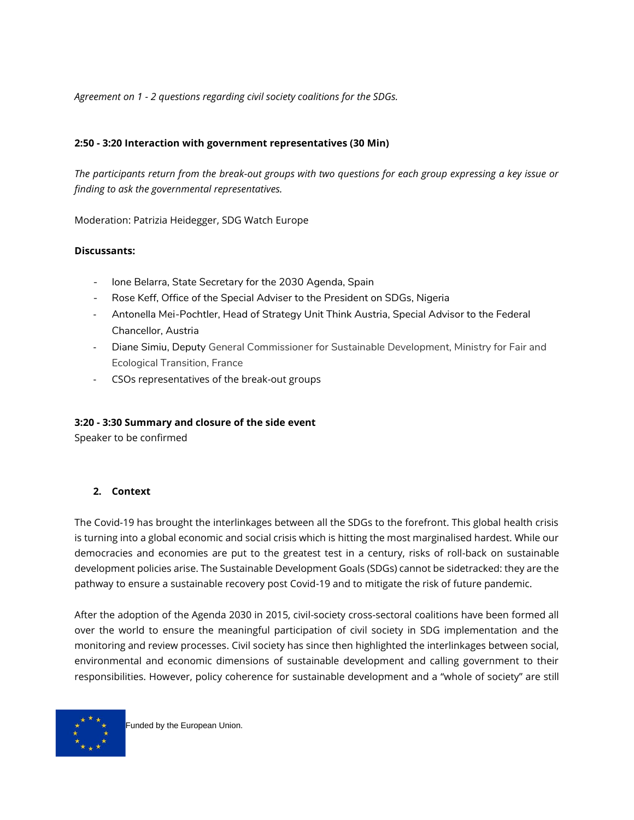*Agreement on 1 - 2 questions regarding civil society coalitions for the SDGs.*

#### **2:50 - 3:20 Interaction with government representatives (30 Min)**

*The participants return from the break-out groups with two questions for each group expressing a key issue or finding to ask the governmental representatives.* 

Moderation: Patrizia Heidegger, SDG Watch Europe

#### **Discussants:**

- Ione Belarra, State Secretary for the 2030 Agenda, Spain
- Rose Keff, Office of the Special Adviser to the President on SDGs, Nigeria
- Antonella Mei-Pochtler, Head of Strategy Unit Think Austria, Special Advisor to the Federal Chancellor, Austria
- Diane Simiu, Deputy General Commissioner for Sustainable Development, Ministry for Fair and Ecological Transition, France
- CSOs representatives of the break-out groups

#### **3:20 - 3:30 Summary and closure of the side event**

Speaker to be confirmed

#### **2. Context**

The Covid-19 has brought the interlinkages between all the SDGs to the forefront. This global health crisis is turning into a global economic and social crisis which is hitting the most marginalised hardest. While our democracies and economies are put to the greatest test in a century, risks of roll-back on sustainable development policies arise. The Sustainable Development Goals (SDGs) cannot be sidetracked: they are the pathway to ensure a sustainable recovery post Covid-19 and to mitigate the risk of future pandemic.

After the adoption of the Agenda 2030 in 2015, civil-society cross-sectoral coalitions have been formed all over the world to ensure the meaningful participation of civil society in SDG implementation and the monitoring and review processes. Civil society has since then highlighted the interlinkages between social, environmental and economic dimensions of sustainable development and calling government to their responsibilities. However, policy coherence for sustainable development and a "whole of society" are still

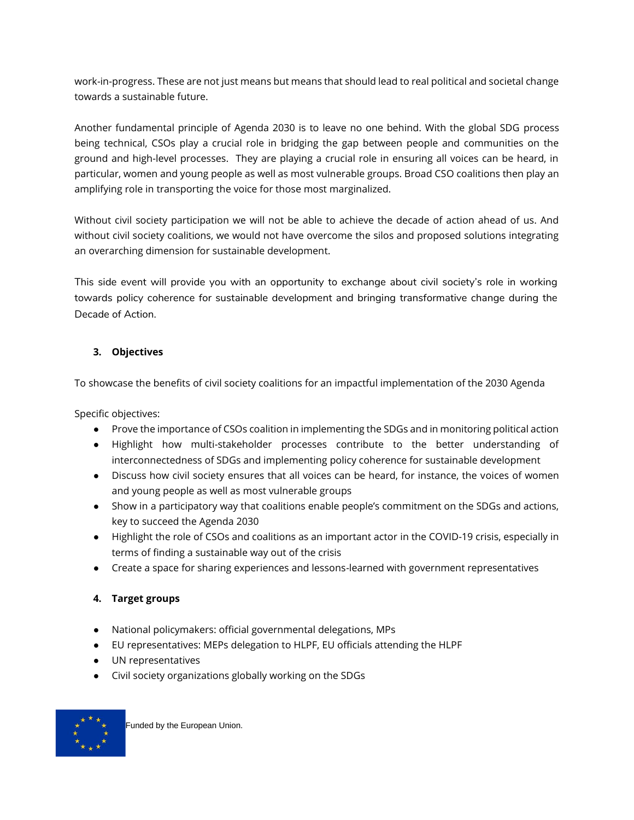work-in-progress. These are not just means but means that should lead to real political and societal change towards a sustainable future.

Another fundamental principle of Agenda 2030 is to leave no one behind. With the global SDG process being technical, CSOs play a crucial role in bridging the gap between people and communities on the ground and high-level processes. They are playing a crucial role in ensuring all voices can be heard, in particular, women and young people as well as most vulnerable groups. Broad CSO coalitions then play an amplifying role in transporting the voice for those most marginalized.

Without civil society participation we will not be able to achieve the decade of action ahead of us. And without civil society coalitions, we would not have overcome the silos and proposed solutions integrating an overarching dimension for sustainable development.

This side event will provide you with an opportunity to exchange about civil society's role in working towards policy coherence for sustainable development and bringing transformative change during the Decade of Action.

# **3. Objectives**

To showcase the benefits of civil society coalitions for an impactful implementation of the 2030 Agenda

Specific objectives:

- Prove the importance of CSOs coalition in implementing the SDGs and in monitoring political action
- Highlight how multi-stakeholder processes contribute to the better understanding of interconnectedness of SDGs and implementing policy coherence for sustainable development
- Discuss how civil society ensures that all voices can be heard, for instance, the voices of women and young people as well as most vulnerable groups
- Show in a participatory way that coalitions enable people's commitment on the SDGs and actions, key to succeed the Agenda 2030
- Highlight the role of CSOs and coalitions as an important actor in the COVID-19 crisis, especially in terms of finding a sustainable way out of the crisis
- Create a space for sharing experiences and lessons-learned with government representatives

## **4. Target groups**

- National policymakers: official governmental delegations, MPs
- EU representatives: MEPs delegation to HLPF, EU officials attending the HLPF
- UN representatives
- Civil society organizations globally working on the SDGs